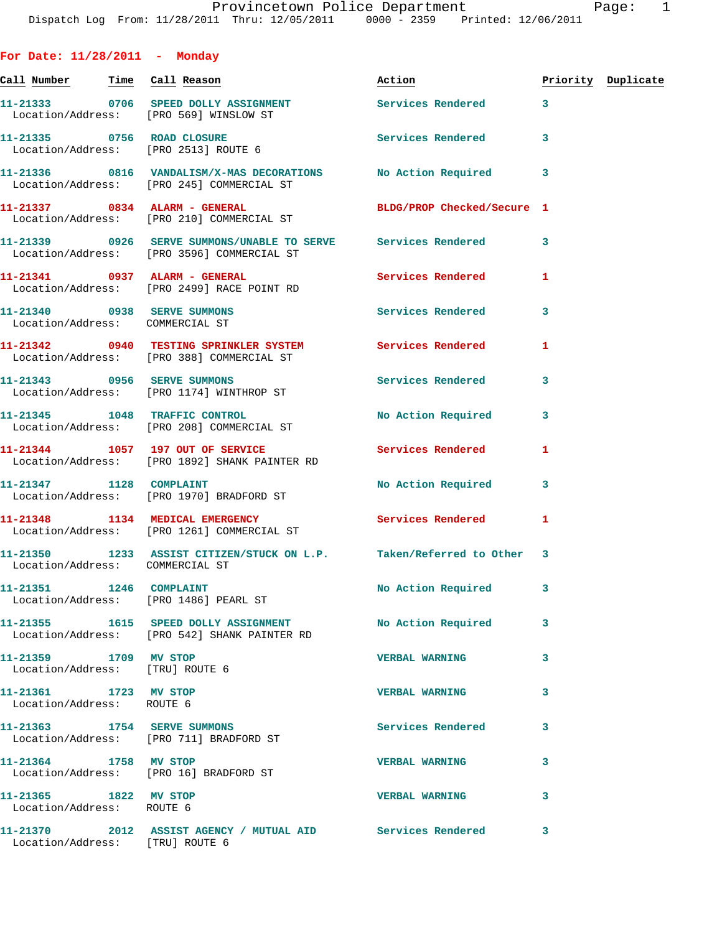**For Date: 11/28/2011 - Monday Call Number Time Call Reason Action Priority Duplicate 11-21333 0706 SPEED DOLLY ASSIGNMENT Services Rendered 3**  Location/Address: [PRO 569] WINSLOW ST 11-21335 0756 ROAD CLOSURE **Services Rendered** 3 Location/Address: [PRO 2513] ROUTE 6 **11-21336 0816 VANDALISM/X-MAS DECORATIONS No Action Required 3**  Location/Address: [PRO 245] COMMERCIAL ST **11-21337 0834 ALARM - GENERAL BLDG/PROP Checked/Secure 1**  Location/Address: [PRO 210] COMMERCIAL ST **11-21339 0926 SERVE SUMMONS/UNABLE TO SERVE Services Rendered 3**  Location/Address: [PRO 3596] COMMERCIAL ST **11-21341 0937 ALARM - GENERAL Services Rendered 1**  Location/Address: [PRO 2499] RACE POINT RD **11-21340 0938 SERVE SUMMONS Services Rendered 3**  Location/Address: COMMERCIAL ST **11-21342 0940 TESTING SPRINKLER SYSTEM Services Rendered 1**  Location/Address: [PRO 388] COMMERCIAL ST **11-21343 0956 SERVE SUMMONS Services Rendered 3**  Location/Address: [PRO 1174] WINTHROP ST **11-21345 1048 TRAFFIC CONTROL No Action Required 3**  Location/Address: [PRO 208] COMMERCIAL ST **11-21344 1057 197 OUT OF SERVICE Services Rendered 1**  Location/Address: [PRO 1892] SHANK PAINTER RD **11-21347 1128 COMPLAINT No Action Required 3**  Location/Address: [PRO 1970] BRADFORD ST **11-21348 1134 MEDICAL EMERGENCY Services Rendered 1**  Location/Address: [PRO 1261] COMMERCIAL ST **11-21350 1233 ASSIST CITIZEN/STUCK ON L.P. Taken/Referred to Other 3**  Location/Address: COMMERCIAL ST **11-21351 1246 COMPLAINT No Action Required 3**  Location/Address: [PRO 1486] PEARL ST **11-21355 1615 SPEED DOLLY ASSIGNMENT No Action Required 3**  Location/Address: [PRO 542] SHANK PAINTER RD **11-21359 1709 MV STOP VERBAL WARNING 3**  Location/Address: [TRU] ROUTE 6 **11-21361 1723 MV STOP VERBAL WARNING 3**  Location/Address: ROUTE 6 **11-21363 1754 SERVE SUMMONS Services Rendered 3**  Location/Address: [PRO 711] BRADFORD ST **11-21364 1758 MV STOP VERBAL WARNING 3**  Location/Address: [PRO 16] BRADFORD ST **11-21365 1822 MV STOP VERBAL WARNING 3**  Location/Address: ROUTE 6 **11-21370 2012 ASSIST AGENCY / MUTUAL AID Services Rendered 3**  Location/Address: [TRU] ROUTE 6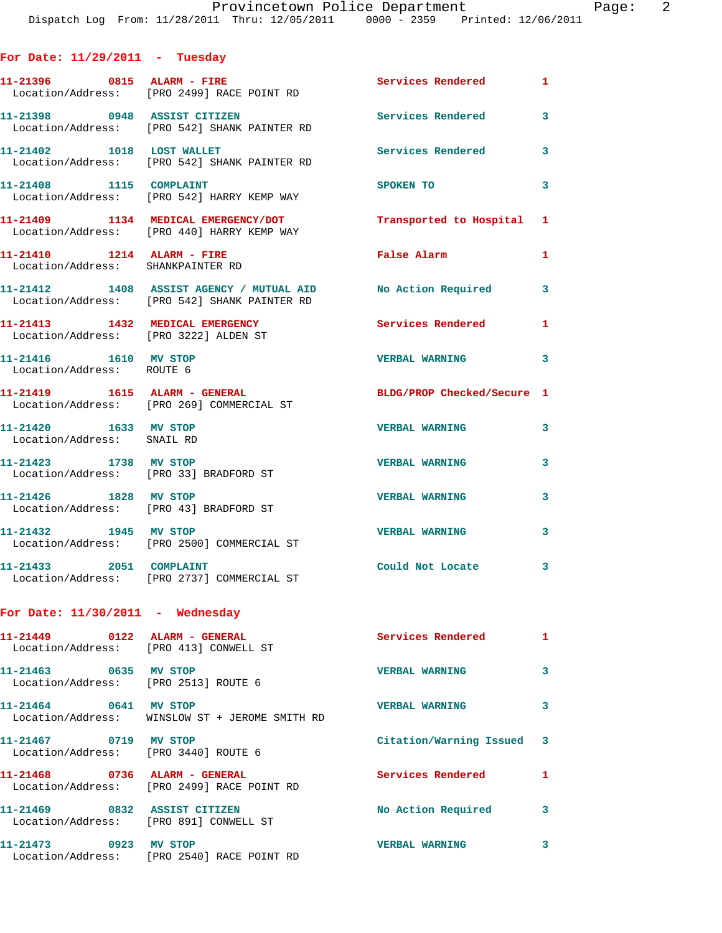**11-21396 0815 ALARM - FIRE Services Rendered 1**  Location/Address: [PRO 2499] RACE POINT RD **11-21398 0948 ASSIST CITIZEN Services Rendered 3**  Location/Address: [PRO 542] SHANK PAINTER RD **11-21402 1018 LOST WALLET Services Rendered 3**  Location/Address: [PRO 542] SHANK PAINTER RD **11-21408 1115 COMPLAINT SPOKEN TO 3**  Location/Address: [PRO 542] HARRY KEMP WAY **11-21409 1134 MEDICAL EMERGENCY/DOT Transported to Hospital 1**  Location/Address: [PRO 440] HARRY KEMP WAY **11-21410 1214 ALARM - FIRE False Alarm 1**  Location/Address: SHANKPAINTER RD **11-21412 1408 ASSIST AGENCY / MUTUAL AID No Action Required 3**  Location/Address: [PRO 542] SHANK PAINTER RD **11-21413 1432 MEDICAL EMERGENCY Services Rendered 1**  Location/Address: [PRO 3222] ALDEN ST **11-21416 1610 MV STOP VERBAL WARNING 3**  Location/Address: ROUTE 6 **11-21419 1615 ALARM - GENERAL BLDG/PROP Checked/Secure 1**  Location/Address: [PRO 269] COMMERCIAL ST **11-21420 1633 MV STOP VERBAL WARNING 3**  Location/Address: SNAIL RD **11-21423 1738 MV STOP VERBAL WARNING 3**  Location/Address: [PRO 33] BRADFORD ST **11-21426 1828 MV STOP VERBAL WARNING 3**  Location/Address: [PRO 43] BRADFORD ST **11-21432 1945 MV STOP VERBAL WARNING 3**  Location/Address: [PRO 2500] COMMERCIAL ST **11-21433 2051 COMPLAINT Could Not Locate 3**  Location/Address: [PRO 2737] COMMERCIAL ST

## **For Date: 11/30/2011 - Wednesday**

**For Date: 11/29/2011 - Tuesday**

| Location/Address: [PRO 413] CONWELL ST                    |                                                           | Services Rendered         | $\mathbf{1}$ |
|-----------------------------------------------------------|-----------------------------------------------------------|---------------------------|--------------|
| $11 - 21463$ 0635<br>Location/Address: [PRO 2513] ROUTE 6 | MV STOP                                                   | <b>VERBAL WARNING</b>     | 3            |
| $11 - 21464$ 0641                                         | MV STOP<br>Location/Address: WINSLOW ST + JEROME SMITH RD | <b>VERBAL WARNING</b>     | 3            |
| 11-21467 0719<br>Location/Address:                        | MV STOP<br>FRO 34401 ROUTE 6                              | Citation/Warning Issued 3 |              |
|                                                           | Location/Address: [PRO 2499] RACE POINT RD                | Services Rendered         | 1            |
| 11-21469 0832<br>Location/Address:                        | <b>ASSIST CITIZEN</b><br>FPRO 8911 CONWELL ST             | No Action Required        | 3            |
| 11-21473 0923<br>Location/Address:                        | MV STOP<br>FRO 25401 RACE POINT RD                        | <b>VERBAL WARNING</b>     | 3            |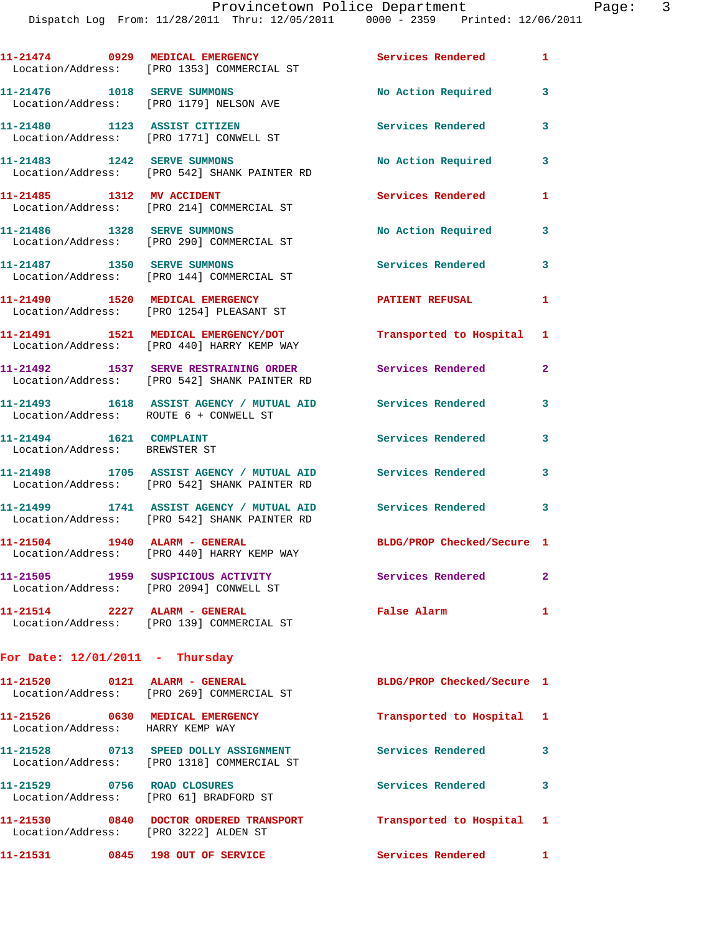Dispatch Log From: 11/28/2011 Thru: 12/05/2011 0000 - 2359 Printed: 12/06/2011

|                                                          | 11-21474 0929 MEDICAL EMERGENCY<br>Location/Address: [PRO 1353] COMMERCIAL ST                                | Services Rendered 1        |                |
|----------------------------------------------------------|--------------------------------------------------------------------------------------------------------------|----------------------------|----------------|
| 11-21476    1018    SERVE SUMMONS                        | Location/Address: [PRO 1179] NELSON AVE                                                                      | No Action Required         | 3              |
| 11-21480 1123 ASSIST CITIZEN                             | Location/Address: [PRO 1771] CONWELL ST                                                                      | Services Rendered          | 3              |
|                                                          | 11-21483 1242 SERVE SUMMONS<br>Location/Address: [PRO 542] SHANK PAINTER RD                                  | No Action Required         | 3              |
| 11-21485 1312 MV ACCIDENT                                | Location/Address: [PRO 214] COMMERCIAL ST                                                                    | Services Rendered          | 1              |
| 11-21486    1328    SERVE SUMMONS                        | Location/Address: [PRO 290] COMMERCIAL ST                                                                    | No Action Required         | 3              |
| 11-21487 1350 SERVE SUMMONS                              | Location/Address: [PRO 144] COMMERCIAL ST                                                                    | Services Rendered          | 3              |
|                                                          | 11-21490 1520 MEDICAL EMERGENCY<br>Location/Address: [PRO 1254] PLEASANT ST                                  | <b>PATIENT REFUSAL</b>     | $\mathbf{1}$   |
|                                                          | 11-21491 1521 MEDICAL EMERGENCY/DOT<br>Location/Address: [PRO 440] HARRY KEMP WAY                            | Transported to Hospital 1  |                |
|                                                          | 11-21492 1537 SERVE RESTRAINING ORDER<br>Location/Address: [PRO 542] SHANK PAINTER RD                        | Services Rendered          | $\overline{2}$ |
| Location/Address: ROUTE 6 + CONWELL ST                   | 11-21493 1618 ASSIST AGENCY / MUTUAL AID                                                                     | Services Rendered          | 3              |
| 11-21494 1621 COMPLAINT<br>Location/Address: BREWSTER ST |                                                                                                              | Services Rendered          | 3              |
|                                                          | 11-21498 1705 ASSIST AGENCY / MUTUAL AID<br>Location/Address: [PRO 542] SHANK PAINTER RD                     | Services Rendered          | 3              |
|                                                          | 11-21499 1741 ASSIST AGENCY / MUTUAL AID Services Rendered 3<br>Location/Address: [PRO 542] SHANK PAINTER RD |                            |                |
|                                                          | 11-21504 1940 ALARM - GENERAL<br>Location/Address: [PRO 440] HARRY KEMP WAY                                  | BLDG/PROP Checked/Secure 1 |                |
|                                                          | 11-21505 1959 SUSPICIOUS ACTIVITY<br>Location/Address: [PRO 2094] CONWELL ST                                 | <b>Services Rendered</b>   | $\mathbf{2}$   |
| 11-21514 2227 ALARM - GENERAL                            | Location/Address: [PRO 139] COMMERCIAL ST                                                                    | <b>False Alarm</b>         | 1              |
| For Date: $12/01/2011 - \text{Thursday}$                 |                                                                                                              |                            |                |
| 11-21520 0121 ALARM - GENERAL                            |                                                                                                              | BLDG/PROP Checked/Secure 1 |                |

 Location/Address: [PRO 269] COMMERCIAL ST **11-21526 0630 MEDICAL EMERGENCY Transported to Hospital 1**  Location/Address: HARRY KEMP WAY **11-21528 0713 SPEED DOLLY ASSIGNMENT Services Rendered 3**  Location/Address: [PRO 1318] COMMERCIAL ST **11-21529 0756 ROAD CLOSURES Services Rendered 3**  Location/Address: [PRO 61] BRADFORD ST **11-21530 0840 DOCTOR ORDERED TRANSPORT Transported to Hospital 1**  Location/Address: [PRO 3222] ALDEN ST **11-21531 0845 198 OUT OF SERVICE Services Rendered 1**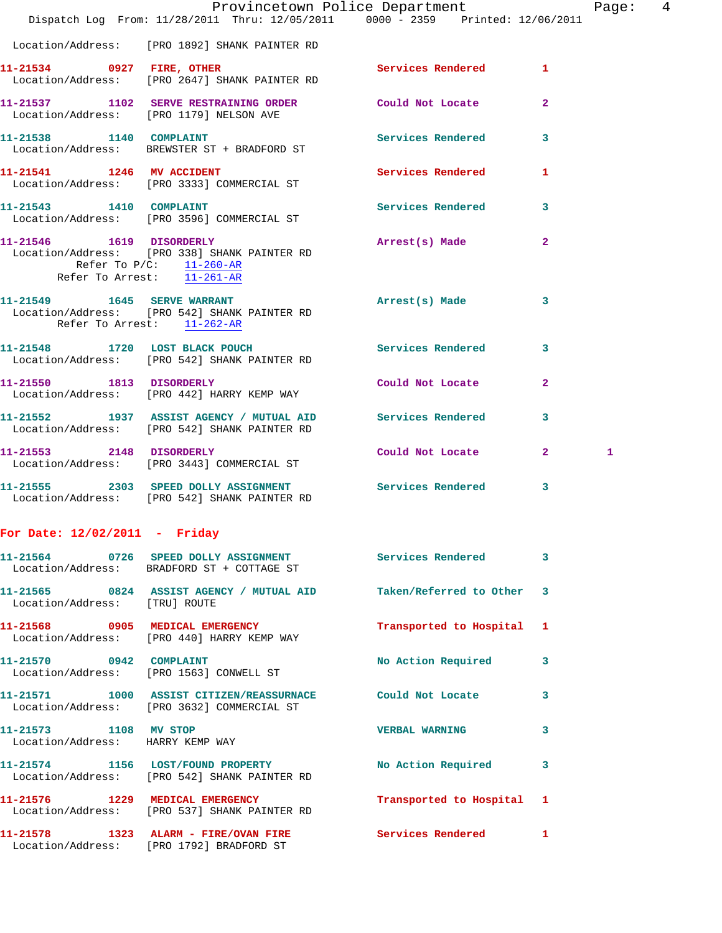|                                  | Dispatch Log From: 11/28/2011 Thru: 12/05/2011 0000 - 2359 Printed: 12/06/2011                             | Provincetown Police Department Page: 4 |              |              |  |
|----------------------------------|------------------------------------------------------------------------------------------------------------|----------------------------------------|--------------|--------------|--|
|                                  | Location/Address: [PRO 1892] SHANK PAINTER RD                                                              |                                        |              |              |  |
|                                  | 11-21534 0927 FIRE, OTHER Services Rendered 1<br>Location/Address: [PRO 2647] SHANK PAINTER RD             |                                        |              |              |  |
|                                  | 11-21537 1102 SERVE RESTRAINING ORDER Could Not Locate<br>Location/Address: [PRO 1179] NELSON AVE          |                                        | $\mathbf{2}$ |              |  |
| 11-21538 1140 COMPLAINT          | Location/Address: BREWSTER ST + BRADFORD ST                                                                | Services Rendered 3                    |              |              |  |
|                                  | 11-21541 1246 MV ACCIDENT<br>Location/Address: [PRO 3333] COMMERCIAL ST                                    | Services Rendered 1                    |              |              |  |
| 11-21543 1410 COMPLAINT          | Location/Address: [PRO 3596] COMMERCIAL ST                                                                 | Services Rendered 3                    |              |              |  |
| Refer To Arrest: 11-261-AR       | 11-21546 1619 DISORDERLY<br>Location/Address: [PRO 338] SHANK PAINTER RD<br>Refer To $P/C$ : $11-260-R$    | Arrest(s) Made                         | $\mathbf{2}$ |              |  |
| Refer To Arrest: 11-262-AR       | 11-21549 1645 SERVE WARRANT<br>Location/Address: [PRO 542] SHANK PAINTER RD                                | Arrest(s) Made                         | 3            |              |  |
|                                  | 11-21548 1720 LOST BLACK POUCH<br>Location/Address: [PRO 542] SHANK PAINTER RD                             | Services Rendered                      | $\mathbf{3}$ |              |  |
|                                  | 11-21550 1813 DISORDERLY<br>Location/Address: [PRO 442] HARRY KEMP WAY                                     | Could Not Locate                       | $\mathbf{2}$ |              |  |
|                                  | 11-21552 1937 ASSIST AGENCY / MUTUAL AID Services Rendered<br>Location/Address: [PRO 542] SHANK PAINTER RD |                                        | 3            |              |  |
|                                  | 11-21553 2148 DISORDERLY<br>Location/Address: [PRO 3443] COMMERCIAL ST                                     | Could Not Locate 2                     |              | $\mathbf{1}$ |  |
|                                  | 11-21555 2303 SPEED DOLLY ASSIGNMENT Services Rendered<br>Location/Address: [PRO 542] SHANK PAINTER RD     |                                        | 3            |              |  |
| For Date: 12/02/2011 - Friday    |                                                                                                            |                                        |              |              |  |
|                                  | 11-21564 0726 SPEED DOLLY ASSIGNMENT Services Rendered 3<br>Location/Address: BRADFORD ST + COTTAGE ST     |                                        |              |              |  |
| Location/Address: [TRU] ROUTE    | 11-21565 0824 ASSIST AGENCY / MUTUAL AID Taken/Referred to Other 3                                         |                                        |              |              |  |
|                                  | 11-21568 0905 MEDICAL EMERGENCY<br>Location/Address: [PRO 440] HARRY KEMP WAY                              | Transported to Hospital 1              |              |              |  |
|                                  | 11-21570 0942 COMPLAINT<br>Location/Address: [PRO 1563] CONWELL ST                                         | No Action Required 3                   |              |              |  |
|                                  | 11-21571 1000 ASSIST CITIZEN/REASSURNACE Could Not Locate 3<br>Location/Address: [PRO 3632] COMMERCIAL ST  |                                        |              |              |  |
| Location/Address: HARRY KEMP WAY | 11-21573 1108 MV STOP                                                                                      | <b>VERBAL WARNING</b>                  | 3            |              |  |
|                                  | 11-21574 1156 LOST/FOUND PROPERTY No Action Required 3<br>Location/Address: [PRO 542] SHANK PAINTER RD     |                                        |              |              |  |
|                                  | 11-21576 1229 MEDICAL EMERGENCY<br>Location/Address: [PRO 537] SHANK PAINTER RD                            | Transported to Hospital 1              |              |              |  |
|                                  | 11-21578 1323 ALARM - FIRE/OVAN FIRE Services Rendered 1<br>Location/Address: [PRO 1792] BRADFORD ST       |                                        |              |              |  |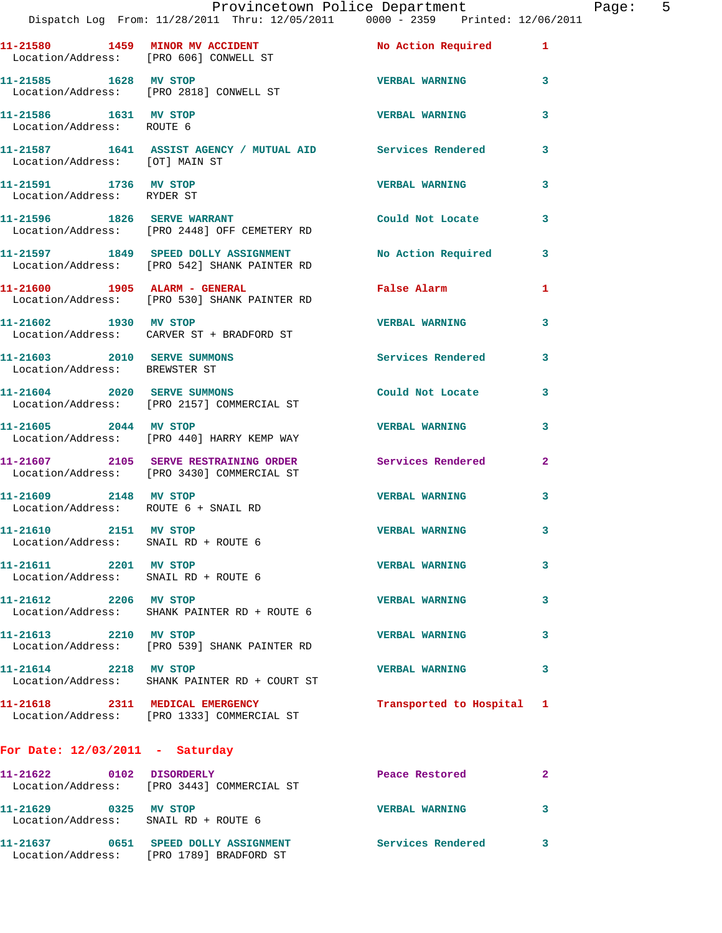|                                                               | Provincetown Police Department<br>Dispatch Log From: 11/28/2011 Thru: 12/05/2011 0000 - 2359 Printed: 12/06/2011 |                           |                |
|---------------------------------------------------------------|------------------------------------------------------------------------------------------------------------------|---------------------------|----------------|
|                                                               | 11-21580 1459 MINOR MV ACCIDENT No Action Required<br>Location/Address: [PRO 606] CONWELL ST                     |                           | 1              |
| 11-21585 1628 MV STOP                                         | Location/Address: [PRO 2818] CONWELL ST                                                                          | <b>VERBAL WARNING</b>     | 3              |
| 11-21586 1631 MV STOP<br>Location/Address: ROUTE 6            |                                                                                                                  | <b>VERBAL WARNING</b>     | 3              |
| Location/Address: [OT] MAIN ST                                | 11-21587 1641 ASSIST AGENCY / MUTUAL AID Services Rendered                                                       |                           | 3              |
| 11-21591 1736 MV STOP<br>Location/Address: RYDER ST           |                                                                                                                  | <b>VERBAL WARNING</b>     | 3              |
|                                                               | 11-21596 1826 SERVE WARRANT<br>Location/Address: [PRO 2448] OFF CEMETERY RD                                      | Could Not Locate          | 3              |
|                                                               | 11-21597 1849 SPEED DOLLY ASSIGNMENT<br>Location/Address: [PRO 542] SHANK PAINTER RD                             | No Action Required        | 3              |
|                                                               | 11-21600 1905 ALARM - GENERAL<br>Location/Address: [PRO 530] SHANK PAINTER RD                                    | <b>False Alarm</b>        | 1              |
|                                                               | 11-21602 1930 MV STOP<br>Location/Address: CARVER ST + BRADFORD ST                                               | <b>VERBAL WARNING</b>     | 3              |
| 11-21603 2010 SERVE SUMMONS<br>Location/Address: BREWSTER ST  |                                                                                                                  | <b>Services Rendered</b>  | 3              |
|                                                               | 11-21604 2020 SERVE SUMMONS<br>Location/Address: [PRO 2157] COMMERCIAL ST                                        | Could Not Locate          | 3              |
| 11-21605 2044 MV STOP                                         | Location/Address: [PRO 440] HARRY KEMP WAY                                                                       | <b>VERBAL WARNING</b>     | 3              |
|                                                               | 11-21607 2105 SERVE RESTRAINING ORDER<br>Location/Address: [PRO 3430] COMMERCIAL ST                              | Services Rendered         | $\overline{a}$ |
| 11-21609 2148 MV STOP<br>Location/Address: ROUTE 6 + SNAIL RD |                                                                                                                  | <b>VERBAL WARNING</b>     | 3              |
| 11-21610 2151 MV STOP<br>Location/Address: SNAIL RD + ROUTE 6 |                                                                                                                  | <b>VERBAL WARNING</b>     | 3              |
| 11-21611 2201 MV STOP<br>Location/Address: SNAIL RD + ROUTE 6 |                                                                                                                  | <b>VERBAL WARNING</b>     | 3              |
| 11-21612 2206 MV STOP                                         | Location/Address: SHANK PAINTER RD + ROUTE 6                                                                     | <b>VERBAL WARNING</b>     | 3              |
| 11-21613 2210 MV STOP                                         | Location/Address: [PRO 539] SHANK PAINTER RD                                                                     | <b>VERBAL WARNING</b>     | 3              |
| 11-21614 2218 MV STOP                                         | Location/Address: SHANK PAINTER RD + COURT ST                                                                    | <b>VERBAL WARNING</b>     | 3              |
| 11-21618 2311 MEDICAL EMERGENCY                               | Location/Address: [PRO 1333] COMMERCIAL ST                                                                       | Transported to Hospital 1 |                |
| For Date: $12/03/2011$ - Saturday                             |                                                                                                                  |                           |                |
| 11-21622 0102 DISORDERLY                                      | Location/Address: [PRO 3443] COMMERCIAL ST                                                                       | Peace Restored            | 2              |
| 11-21629 0325 MV STOP                                         | Location/Address: SNAIL RD + ROUTE 6                                                                             | <b>VERBAL WARNING</b>     | 3              |
|                                                               | 11-21637 0651 SPEED DOLLY ASSIGNMENT Services Rendered                                                           |                           | 3              |

Location/Address: [PRO 1789] BRADFORD ST

Page: 5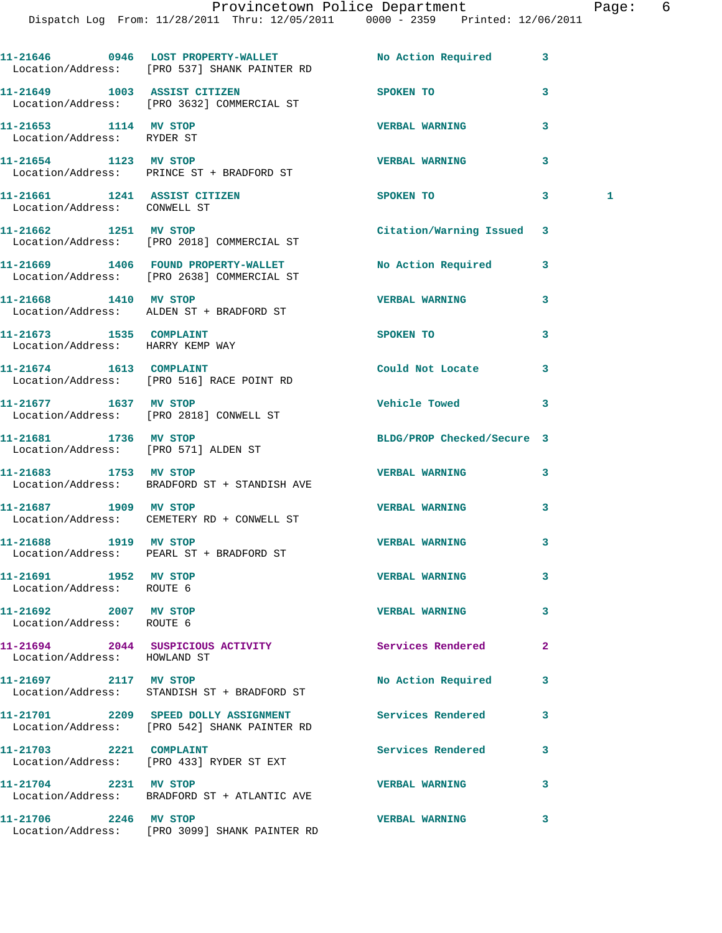|                                                               | 11-21646 0946 LOST PROPERTY-WALLET<br>Location/Address: [PRO 537] SHANK PAINTER RD   | No Action Required         | 3            |
|---------------------------------------------------------------|--------------------------------------------------------------------------------------|----------------------------|--------------|
| 11-21649 1003 ASSIST CITIZEN                                  | Location/Address: [PRO 3632] COMMERCIAL ST                                           | SPOKEN TO                  | 3            |
| 11-21653 1114 MV STOP<br>Location/Address: RYDER ST           |                                                                                      | <b>VERBAL WARNING</b>      | 3            |
|                                                               | 11-21654 1123 MV STOP<br>Location/Address: PRINCE ST + BRADFORD ST                   | <b>VERBAL WARNING</b>      | 3            |
| 11-21661 1241 ASSIST CITIZEN<br>Location/Address: CONWELL ST  |                                                                                      | SPOKEN TO                  | 3<br>1       |
|                                                               | 11-21662 1251 MV STOP<br>Location/Address: [PRO 2018] COMMERCIAL ST                  | Citation/Warning Issued    | 3            |
|                                                               | 11-21669 1406 FOUND PROPERTY-WALLET<br>Location/Address: [PRO 2638] COMMERCIAL ST    | <b>No Action Required</b>  | 3            |
| 11-21668 1410 MV STOP                                         | Location/Address: ALDEN ST + BRADFORD ST                                             | <b>VERBAL WARNING</b>      | 3            |
| 11-21673 1535 COMPLAINT<br>Location/Address: HARRY KEMP WAY   |                                                                                      | SPOKEN TO                  | 3            |
|                                                               | 11-21674 1613 COMPLAINT<br>Location/Address: [PRO 516] RACE POINT RD                 | Could Not Locate           | 3            |
| 11-21677 1637 MV STOP                                         | Location/Address: [PRO 2818] CONWELL ST                                              | Vehicle Towed              | 3            |
| 11-21681 1736 MV STOP<br>Location/Address: [PRO 571] ALDEN ST |                                                                                      | BLDG/PROP Checked/Secure 3 |              |
| 11-21683 1753 MV STOP                                         | Location/Address: BRADFORD ST + STANDISH AVE                                         | <b>VERBAL WARNING</b>      | 3            |
| 11-21687 1909 MV STOP                                         | Location/Address: CEMETERY RD + CONWELL ST                                           | <b>VERBAL WARNING</b>      | 3            |
| 11-21688 1919 MV STOP                                         | Location/Address: PEARL ST + BRADFORD ST                                             | <b>VERBAL WARNING</b>      | 3            |
| 11-21691 1952 MV STOP<br>Location/Address: ROUTE 6            |                                                                                      | <b>VERBAL WARNING</b>      | 3            |
| 11-21692 2007 MV STOP<br>Location/Address: ROUTE 6            |                                                                                      | <b>VERBAL WARNING</b>      | 3            |
| Location/Address: HOWLAND ST                                  | 11-21694 2044 SUSPICIOUS ACTIVITY                                                    | <b>Services Rendered</b>   | $\mathbf{2}$ |
| 11-21697 2117 MV STOP                                         | Location/Address: STANDISH ST + BRADFORD ST                                          | No Action Required         | 3            |
|                                                               | 11-21701 2209 SPEED DOLLY ASSIGNMENT<br>Location/Address: [PRO 542] SHANK PAINTER RD | Services Rendered          | 3            |
| 11-21703 2221 COMPLAINT                                       | Location/Address: [PRO 433] RYDER ST EXT                                             | Services Rendered          | 3            |
| 11-21704 2231 MV STOP                                         | Location/Address: BRADFORD ST + ATLANTIC AVE                                         | <b>VERBAL WARNING</b>      | 3            |
| 11-21706 2246 MV STOP                                         |                                                                                      | <b>VERBAL WARNING</b>      | 3            |

Location/Address: [PRO 3099] SHANK PAINTER RD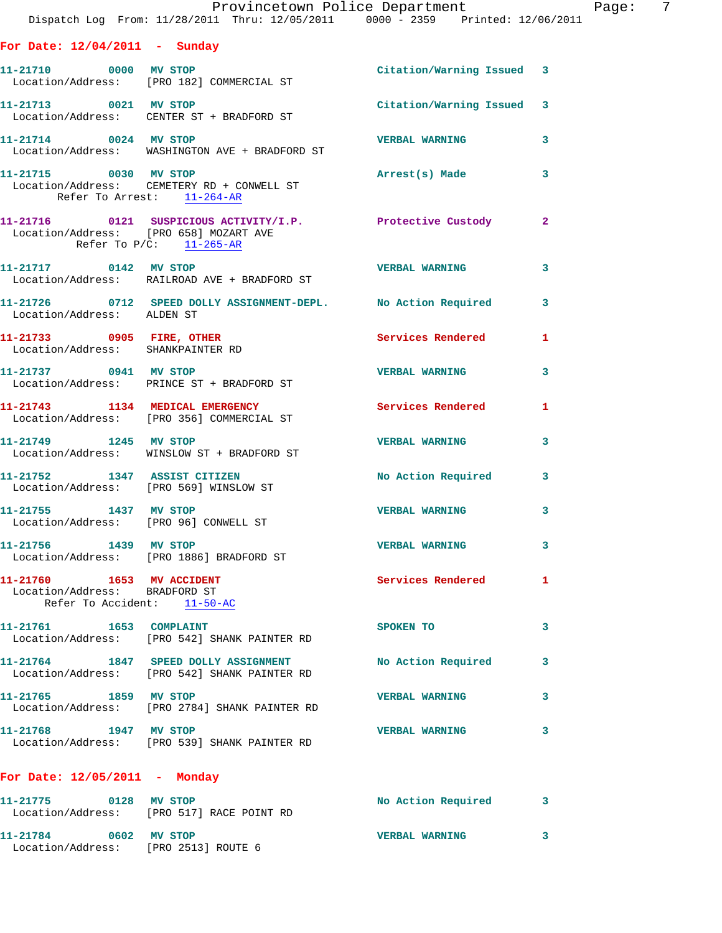|                                                                                           | Provincetown Police Department Page: 7<br>Dispatch Log From: 11/28/2011 Thru: 12/05/2011 0000 - 2359 Printed: 12/06/2011 |                           |              |  |
|-------------------------------------------------------------------------------------------|--------------------------------------------------------------------------------------------------------------------------|---------------------------|--------------|--|
| For Date: $12/04/2011$ - Sunday                                                           |                                                                                                                          |                           |              |  |
|                                                                                           | 11-21710 0000 MV STOP<br>Location/Address: [PRO 182] COMMERCIAL ST                                                       | Citation/Warning Issued 3 |              |  |
|                                                                                           | 11-21713 0021 MV STOP<br>Location/Address: CENTER ST + BRADFORD ST                                                       | Citation/Warning Issued 3 |              |  |
| 11-21714 0024 MV STOP                                                                     | Location/Address: WASHINGTON AVE + BRADFORD ST                                                                           | VERBAL WARNING 3          |              |  |
| Refer To Arrest: 11-264-AR                                                                | 11-21715 0030 MV STOP<br>Location/Address: CEMETERY RD + CONWELL ST                                                      | Arrest(s) Made            | 3            |  |
| Refer To P/C: 11-265-AR                                                                   | 11-21716 0121 SUSPICIOUS ACTIVITY/I.P. Protective Custody 2<br>Location/Address: [PRO 658] MOZART AVE                    |                           |              |  |
|                                                                                           | 11-21717 0142 MV STOP<br>Location/Address: RAILROAD AVE + BRADFORD ST                                                    | VERBAL WARNING 3          |              |  |
| Location/Address: ALDEN ST                                                                | 11-21726 0712 SPEED DOLLY ASSIGNMENT-DEPL. No Action Required 3                                                          |                           |              |  |
| 11-21733 0905 FIRE, OTHER<br>Location/Address: SHANKPAINTER RD                            |                                                                                                                          | Services Rendered 1       |              |  |
|                                                                                           | 11-21737 0941 MV STOP<br>Location/Address: PRINCE ST + BRADFORD ST                                                       | <b>VERBAL WARNING</b>     | 3            |  |
|                                                                                           | 11-21743 1134 MEDICAL EMERGENCY Services Rendered 1<br>Location/Address: [PRO 356] COMMERCIAL ST                         |                           |              |  |
|                                                                                           | 11-21749 1245 MV STOP<br>Location/Address: WINSLOW ST + BRADFORD ST                                                      | <b>VERBAL WARNING</b>     | 3            |  |
|                                                                                           | 11-21752 1347 ASSIST CITIZEN<br>Location/Address: [PRO 569] WINSLOW ST                                                   | No Action Required 3      |              |  |
|                                                                                           | 11-21755 1437 MV STOP<br>Location/Address: [PRO 96] CONWELL ST                                                           | <b>VERBAL WARNING</b>     | 3            |  |
| 11-21756 1439 MV STOP                                                                     | Location/Address: [PRO 1886] BRADFORD ST                                                                                 | <b>VERBAL WARNING</b>     | 3            |  |
| 11-21760 1653 MV ACCIDENT<br>Location/Address: BRADFORD ST<br>Refer To Accident: 11-50-AC |                                                                                                                          | Services Rendered         | $\mathbf{1}$ |  |
| 11-21761 1653 COMPLAINT                                                                   | Location/Address: [PRO 542] SHANK PAINTER RD                                                                             | SPOKEN TO                 | 3            |  |
|                                                                                           | 11-21764 1847 SPEED DOLLY ASSIGNMENT<br>Location/Address: [PRO 542] SHANK PAINTER RD                                     | No Action Required        | 3            |  |
| 11-21765 1859 MV STOP                                                                     | Location/Address: [PRO 2784] SHANK PAINTER RD                                                                            | <b>VERBAL WARNING</b>     | $\mathbf{3}$ |  |
| 11-21768 1947 MV STOP                                                                     | Location/Address: [PRO 539] SHANK PAINTER RD                                                                             | <b>VERBAL WARNING</b>     | 3            |  |
| For Date: $12/05/2011$ - Monday                                                           |                                                                                                                          |                           |              |  |
|                                                                                           | 11-21775 0128 MV STOP<br>Location/Address: [PRO 517] RACE POINT RD                                                       | No Action Required        | -3           |  |
| 11-21784 0602 MV STOP                                                                     |                                                                                                                          | <b>VERBAL WARNING</b>     | $\mathbf{3}$ |  |

Location/Address: [PRO 2513] ROUTE 6